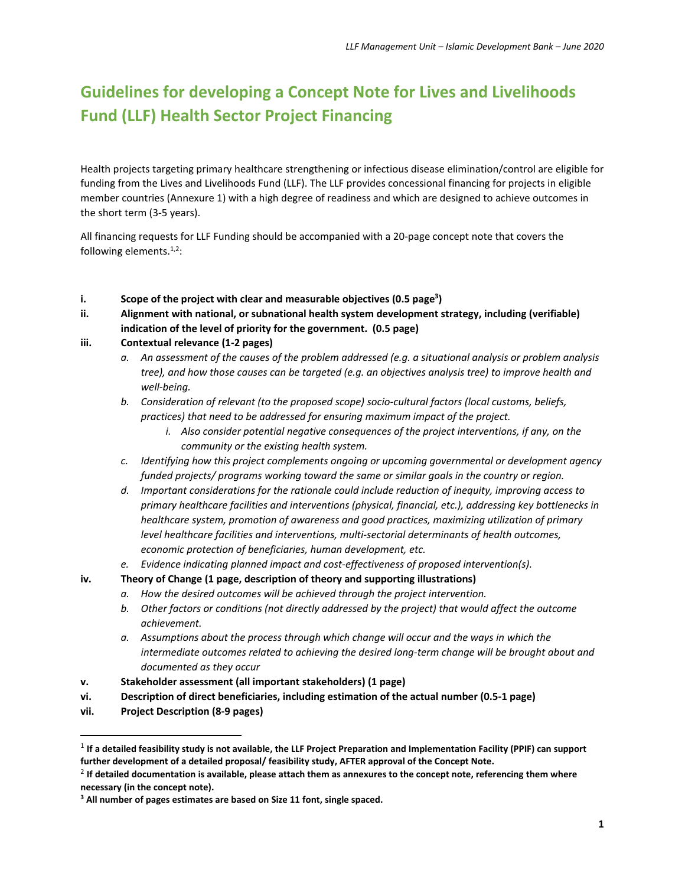# **Guidelines for developing a Concept Note for Lives and Livelihoods Fund (LLF) Health Sector Project Financing**

Health projects targeting primary healthcare strengthening or infectious disease elimination/control are eligible for funding from the Lives and Livelihoods Fund (LLF). The LLF provides concessional financing for projects in eligible member countries (Annexure 1) with a high degree of readiness and which are designed to achieve outcomes in the short term (3-5 years).

All financing requests for LLF Funding should be accompanied with a 20-page concept note that covers the following elements.<sup>1,2</sup>:

- **i. Scope of the project with clear and measurable objectives (0.5 page<sup>3</sup> )**
- **ii. Alignment with national, or subnational health system development strategy, including (verifiable) indication of the level of priority for the government. (0.5 page)**

#### **iii. Contextual relevance (1-2 pages)**

- *a. An assessment of the causes of the problem addressed (e.g. a situational analysis or problem analysis tree), and how those causes can be targeted (e.g. an objectives analysis tree) to improve health and well-being.*
- *b. Consideration of relevant (to the proposed scope) socio-cultural factors (local customs, beliefs, practices) that need to be addressed for ensuring maximum impact of the project.* 
	- *i. Also consider potential negative consequences of the project interventions, if any, on the community or the existing health system.*
- *c. Identifying how this project complements ongoing or upcoming governmental or development agency funded projects/ programs working toward the same or similar goals in the country or region.*
- *d. Important considerations for the rationale could include reduction of inequity, improving access to primary healthcare facilities and interventions (physical, financial, etc.), addressing key bottlenecks in healthcare system, promotion of awareness and good practices, maximizing utilization of primary level healthcare facilities and interventions, multi-sectorial determinants of health outcomes, economic protection of beneficiaries, human development, etc.*
- *e. Evidence indicating planned impact and cost-effectiveness of proposed intervention(s).*
- **iv. Theory of Change (1 page, description of theory and supporting illustrations)**
	- *a. How the desired outcomes will be achieved through the project intervention.*
	- *b. Other factors or conditions (not directly addressed by the project) that would affect the outcome achievement.*
	- *a. Assumptions about the process through which change will occur and the ways in which the intermediate outcomes related to achieving the desired long-term change will be brought about and documented as they occur*
- **v. Stakeholder assessment (all important stakeholders) (1 page)**
- **vi. Description of direct beneficiaries, including estimation of the actual number (0.5-1 page)**
- **vii. Project Description (8-9 pages)**

<sup>&</sup>lt;sup>1</sup> If a detailed feasibility study is not available, the LLF Project Preparation and Implementation Facility (PPIF) can support **further development of a detailed proposal/ feasibility study, AFTER approval of the Concept Note.** 

<sup>2</sup> **If detailed documentation is available, please attach them as annexures to the concept note, referencing them where necessary (in the concept note).**

**<sup>3</sup> All number of pages estimates are based on Size 11 font, single spaced.**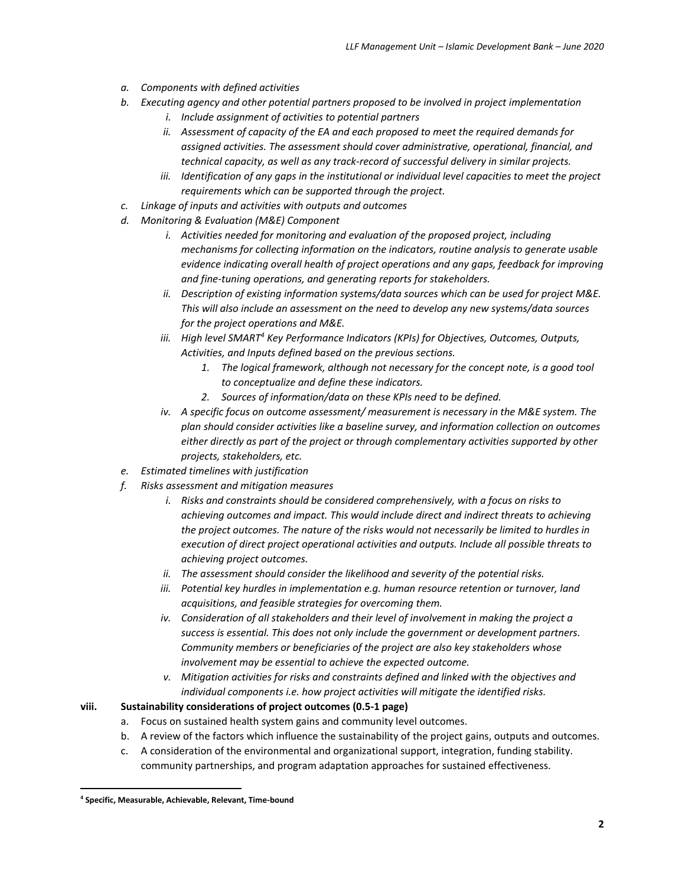- *a. Components with defined activities*
- *b. Executing agency and other potential partners proposed to be involved in project implementation*
	- *i. Include assignment of activities to potential partners*
	- *ii. Assessment of capacity of the EA and each proposed to meet the required demands for assigned activities. The assessment should cover administrative, operational, financial, and technical capacity, as well as any track-record of successful delivery in similar projects.*
	- *iii. Identification of any gaps in the institutional or individual level capacities to meet the project requirements which can be supported through the project.*
- *c. Linkage of inputs and activities with outputs and outcomes*
- *d. Monitoring & Evaluation (M&E) Component*
	- *i. Activities needed for monitoring and evaluation of the proposed project, including mechanisms for collecting information on the indicators, routine analysis to generate usable evidence indicating overall health of project operations and any gaps, feedback for improving and fine-tuning operations, and generating reports for stakeholders.*
	- *ii. Description of existing information systems/data sources which can be used for project M&E. This will also include an assessment on the need to develop any new systems/data sources for the project operations and M&E.*
	- *iii. High level SMART<sup>4</sup> Key Performance Indicators (KPIs) for Objectives, Outcomes, Outputs, Activities, and Inputs defined based on the previous sections.*
		- *1. The logical framework, although not necessary for the concept note, is a good tool to conceptualize and define these indicators.*
		- *2. Sources of information/data on these KPIs need to be defined.*
	- *iv. A specific focus on outcome assessment/ measurement is necessary in the M&E system. The plan should consider activities like a baseline survey, and information collection on outcomes either directly as part of the project or through complementary activities supported by other projects, stakeholders, etc.*
- *e. Estimated timelines with justification*
- *f. Risks assessment and mitigation measures*
	- *i. Risks and constraints should be considered comprehensively, with a focus on risks to achieving outcomes and impact. This would include direct and indirect threats to achieving the project outcomes. The nature of the risks would not necessarily be limited to hurdles in execution of direct project operational activities and outputs. Include all possible threats to achieving project outcomes.*
	- *ii. The assessment should consider the likelihood and severity of the potential risks.*
	- *iii. Potential key hurdles in implementation e.g. human resource retention or turnover, land acquisitions, and feasible strategies for overcoming them.*
	- *iv. Consideration of all stakeholders and their level of involvement in making the project a success is essential. This does not only include the government or development partners. Community members or beneficiaries of the project are also key stakeholders whose involvement may be essential to achieve the expected outcome.*
	- *v. Mitigation activities for risks and constraints defined and linked with the objectives and individual components i.e. how project activities will mitigate the identified risks.*

#### **viii. Sustainability considerations of project outcomes (0.5-1 page)**

- a. Focus on sustained health system gains and community level outcomes.
- b. A review of the factors which influence the sustainability of the project gains, outputs and outcomes.
- c. A consideration of the environmental and organizational support, integration, funding stability. community partnerships, and program adaptation approaches for sustained effectiveness.

**<sup>4</sup> Specific, Measurable, Achievable, Relevant, Time-bound**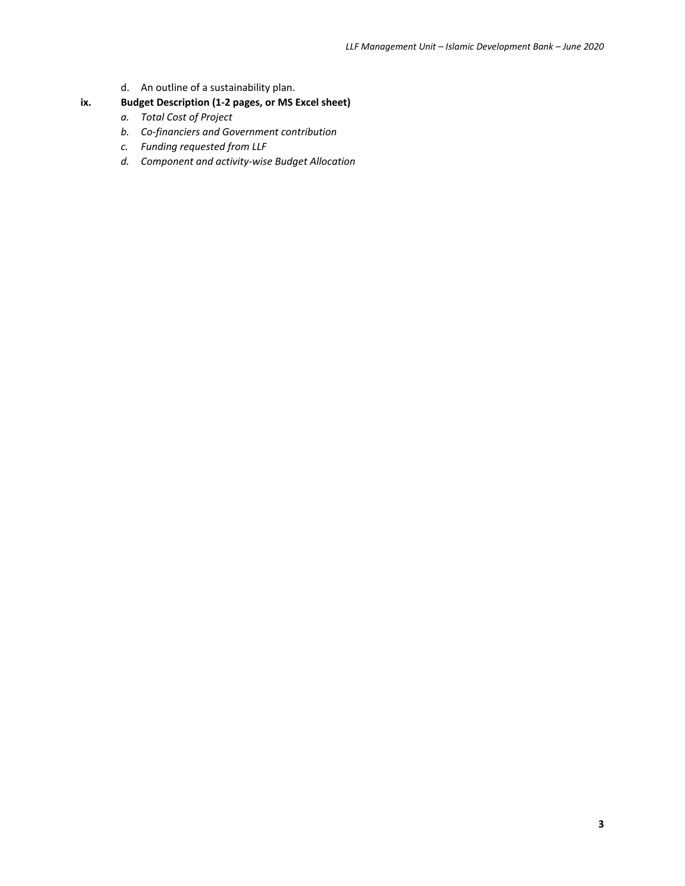d. An outline of a sustainability plan.

### **ix. Budget Description (1-2 pages, or MS Excel sheet)**

- *a. Total Cost of Project*
- *b. Co-financiers and Government contribution*
- *c. Funding requested from LLF*
- *d. Component and activity-wise Budget Allocation*